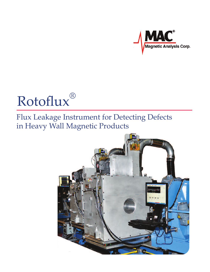

### Rotoflux ®

## Flux Leakage Instrument for Detecting Defects in Heavy Wall Magnetic Products

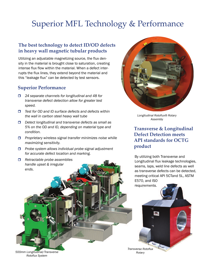## Superior MFL Technology & Performance

### **The best technology to detect ID/OD defects in heavy wall magnetic tubular products**

Utilizing an adjustable magnetizing source, the flux density in the material is brought close to saturation, creating intense flux flow within the material. When a defect interrupts the flux lines, they extend beyond the material and this "leakage flux" can be detected by test sensors.

#### **Superior Performance**

- *24 separate channels for longitudinal and 48 for transverse defect detection allow for greater test speed.*
- *Test for OD and ID surface defects and defects within the wall in carbon steel heavy wall tube*
- *Detect longitudinal and transverse defects as small as 5% on the OD and ID, depending on material type and condition.*
- *Proprietary wireless signal transfer minimizes noise whiile maximizing sensitivity.*
- *Probe system allows individual probe signal adjustment for accurate defect location and marking.*
- *Retractable probe assemblies handle upset* & *irregular ends*.



*Longitudinal Rotoflux® Rotary Assembly*

### **Transverse & Longitudinal Defect Detection meets API standards for OCTG product**

By utilizing both Transverse and Longitudinal flux leakage technologies, seams, laps, weld line defects as well as transverse defects can be detected, meeting critical API 5CTand 5L, ASTM E570, and ISO

*Transverse Rotoflux Rotary* requirements.

*500mm Longitudinal/Transverse Rotoflux System*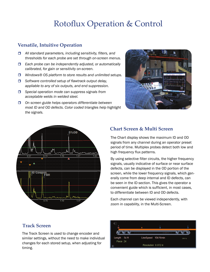# Rotoflux Operation & Control

### **Versatile, Intuitive Operation**

- *All standard parameters, including sensitivity, filters, and thresholds for each probe are set through on-screen menus.*
- *Each probe can be independently adjusted, or automatically calibrated, for gain or sensitivity on-screen.*
- *Windows® OS platform to store results and unlimited setups.*
- *Software controlled setup of flawtrack output delay, appliable to any of six outputs, and end suppression.*
- *Special operation mode can suppress signals from acceptable welds in welded steel.*
- *On screen guide helps operators differentiate between most ID and OD defects. Color coded triangles help highlight the signals.*





### **Chart Screen & Multi Screen**

The Chart display shows the maximum ID and OD signals from any channel during an operator preset period of time. Multiplex probes detect both low and high frequency flux patterns.

By using selective filter circuits, the higher frequency signals, usually indicative of surface or near surface defects, can be displayed in the OD portion of the screen, while the lower frequency signals, which generally come from deep internal and ID defects, can be seen in the ID section. This gives the operator a convenient guide which is sufficient, in most cases, to differentiate between ID and OD defects.

Each channel can be viewed independently, with zoom in capability, in the Multi-Screen.

### **Track Screen**

The Track Screen is used to change encoder and similar settings, without the need to make individual changes for each stored setup, when adjusting for timing.